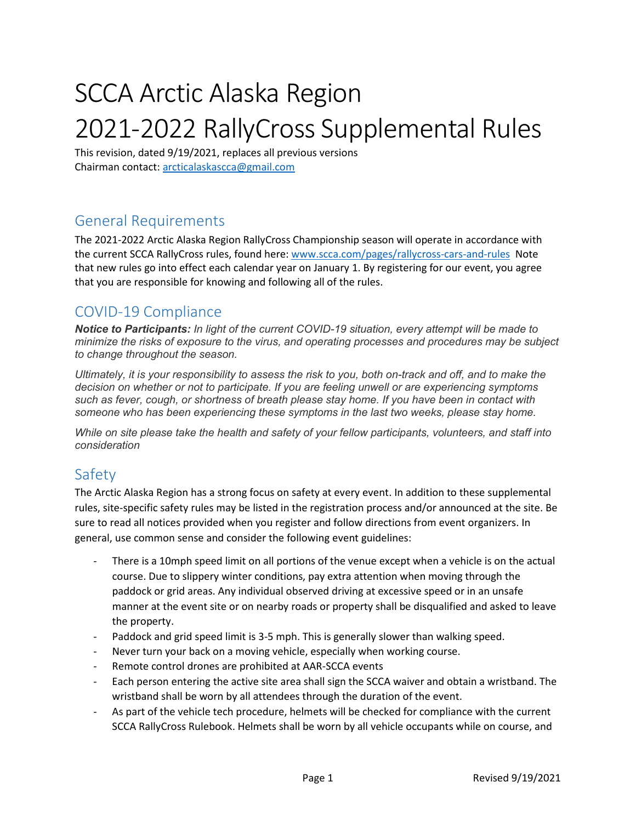# SCCA Arctic Alaska Region

## 2021-2022 RallyCross Supplemental Rules

This revision, dated 9/19/2021, replaces all previous versions Chairman contact[: arcticalaskascca@gmail.com](mailto:arcticalaskascca@gmail.com)

#### General Requirements

The 2021-2022 Arctic Alaska Region RallyCross Championship season will operate in accordance with the current SCCA RallyCross rules, found here: [www.scca.com/pages/rallycross-cars-and-rules](http://www.scca.com/pages/rallycross-cars-and-rules) Note that new rules go into effect each calendar year on January 1. By registering for our event, you agree that you are responsible for knowing and following all of the rules.

#### COVID-19 Compliance

*Notice to Participants: In light of the current COVID-19 situation, every attempt will be made to minimize the risks of exposure to the virus, and operating processes and procedures may be subject to change throughout the season.*

*Ultimately, it is your responsibility to assess the risk to you, both on-track and off, and to make the decision on whether or not to participate. If you are feeling unwell or are experiencing symptoms such as fever, cough, or shortness of breath please stay home. If you have been in contact with someone who has been experiencing these symptoms in the last two weeks, please stay home.*

*While on site please take the health and safety of your fellow participants, volunteers, and staff into consideration*

#### Safety

The Arctic Alaska Region has a strong focus on safety at every event. In addition to these supplemental rules, site-specific safety rules may be listed in the registration process and/or announced at the site. Be sure to read all notices provided when you register and follow directions from event organizers. In general, use common sense and consider the following event guidelines:

- There is a 10mph speed limit on all portions of the venue except when a vehicle is on the actual course. Due to slippery winter conditions, pay extra attention when moving through the paddock or grid areas. Any individual observed driving at excessive speed or in an unsafe manner at the event site or on nearby roads or property shall be disqualified and asked to leave the property.
- Paddock and grid speed limit is 3-5 mph. This is generally slower than walking speed.
- Never turn your back on a moving vehicle, especially when working course.
- Remote control drones are prohibited at AAR-SCCA events
- Each person entering the active site area shall sign the SCCA waiver and obtain a wristband. The wristband shall be worn by all attendees through the duration of the event.
- As part of the vehicle tech procedure, helmets will be checked for compliance with the current SCCA RallyCross Rulebook. Helmets shall be worn by all vehicle occupants while on course, and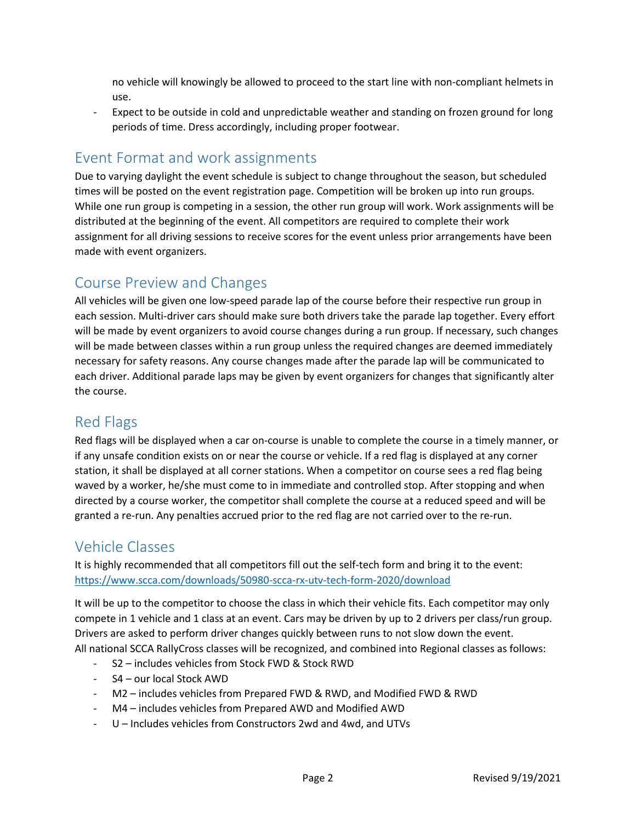no vehicle will knowingly be allowed to proceed to the start line with non-compliant helmets in use.

Expect to be outside in cold and unpredictable weather and standing on frozen ground for long periods of time. Dress accordingly, including proper footwear.

#### Event Format and work assignments

Due to varying daylight the event schedule is subject to change throughout the season, but scheduled times will be posted on the event registration page. Competition will be broken up into run groups. While one run group is competing in a session, the other run group will work. Work assignments will be distributed at the beginning of the event. All competitors are required to complete their work assignment for all driving sessions to receive scores for the event unless prior arrangements have been made with event organizers.

#### Course Preview and Changes

All vehicles will be given one low-speed parade lap of the course before their respective run group in each session. Multi-driver cars should make sure both drivers take the parade lap together. Every effort will be made by event organizers to avoid course changes during a run group. If necessary, such changes will be made between classes within a run group unless the required changes are deemed immediately necessary for safety reasons. Any course changes made after the parade lap will be communicated to each driver. Additional parade laps may be given by event organizers for changes that significantly alter the course.

#### Red Flags

Red flags will be displayed when a car on-course is unable to complete the course in a timely manner, or if any unsafe condition exists on or near the course or vehicle. If a red flag is displayed at any corner station, it shall be displayed at all corner stations. When a competitor on course sees a red flag being waved by a worker, he/she must come to in immediate and controlled stop. After stopping and when directed by a course worker, the competitor shall complete the course at a reduced speed and will be granted a re-run. Any penalties accrued prior to the red flag are not carried over to the re-run.

#### Vehicle Classes

It is highly recommended that all competitors fill out the self-tech form and bring it to the event: <https://www.scca.com/downloads/50980-scca-rx-utv-tech-form-2020/download>

It will be up to the competitor to choose the class in which their vehicle fits. Each competitor may only compete in 1 vehicle and 1 class at an event. Cars may be driven by up to 2 drivers per class/run group. Drivers are asked to perform driver changes quickly between runs to not slow down the event. All national SCCA RallyCross classes will be recognized, and combined into Regional classes as follows:

- S2 includes vehicles from Stock FWD & Stock RWD
- S4 our local Stock AWD
- M2 includes vehicles from Prepared FWD & RWD, and Modified FWD & RWD
- M4 includes vehicles from Prepared AWD and Modified AWD
- U Includes vehicles from Constructors 2wd and 4wd, and UTVs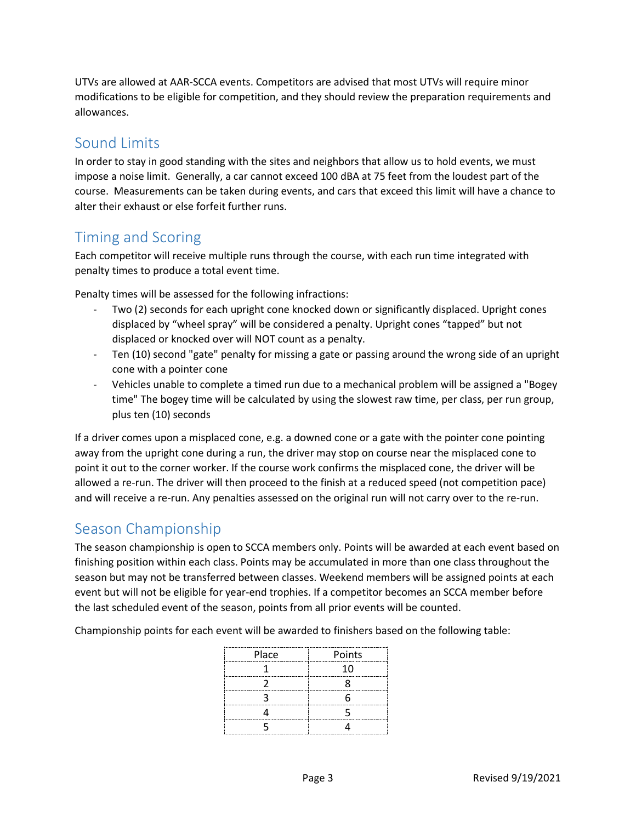UTVs are allowed at AAR-SCCA events. Competitors are advised that most UTVs will require minor modifications to be eligible for competition, and they should review the preparation requirements and allowances.

### Sound Limits

In order to stay in good standing with the sites and neighbors that allow us to hold events, we must impose a noise limit. Generally, a car cannot exceed 100 dBA at 75 feet from the loudest part of the course. Measurements can be taken during events, and cars that exceed this limit will have a chance to alter their exhaust or else forfeit further runs.

#### Timing and Scoring

Each competitor will receive multiple runs through the course, with each run time integrated with penalty times to produce a total event time.

Penalty times will be assessed for the following infractions:

- Two (2) seconds for each upright cone knocked down or significantly displaced. Upright cones displaced by "wheel spray" will be considered a penalty. Upright cones "tapped" but not displaced or knocked over will NOT count as a penalty.
- Ten (10) second "gate" penalty for missing a gate or passing around the wrong side of an upright cone with a pointer cone
- Vehicles unable to complete a timed run due to a mechanical problem will be assigned a "Bogey time" The bogey time will be calculated by using the slowest raw time, per class, per run group, plus ten (10) seconds

If a driver comes upon a misplaced cone, e.g. a downed cone or a gate with the pointer cone pointing away from the upright cone during a run, the driver may stop on course near the misplaced cone to point it out to the corner worker. If the course work confirms the misplaced cone, the driver will be allowed a re-run. The driver will then proceed to the finish at a reduced speed (not competition pace) and will receive a re-run. Any penalties assessed on the original run will not carry over to the re-run.

#### Season Championship

The season championship is open to SCCA members only. Points will be awarded at each event based on finishing position within each class. Points may be accumulated in more than one class throughout the season but may not be transferred between classes. Weekend members will be assigned points at each event but will not be eligible for year-end trophies. If a competitor becomes an SCCA member before the last scheduled event of the season, points from all prior events will be counted.

Championship points for each event will be awarded to finishers based on the following table:

| Place | Points |
|-------|--------|
|       | 10     |
|       |        |
|       |        |
|       |        |
| г     |        |